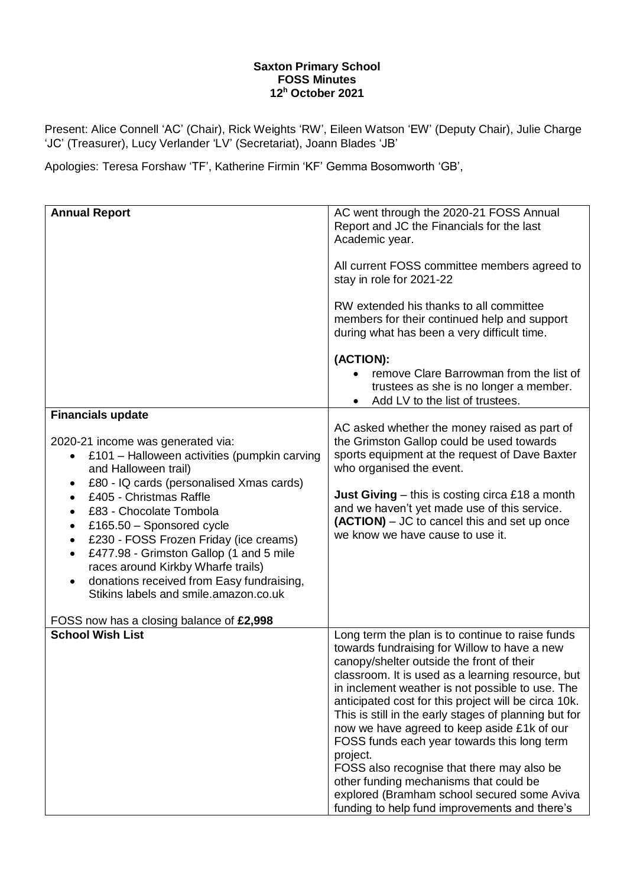## **Saxton Primary School FOSS Minutes 12 <sup>h</sup> October 2021**

Present: Alice Connell 'AC' (Chair), Rick Weights 'RW', Eileen Watson 'EW' (Deputy Chair), Julie Charge 'JC' (Treasurer), Lucy Verlander 'LV' (Secretariat), Joann Blades 'JB'

Apologies: Teresa Forshaw 'TF', Katherine Firmin 'KF' Gemma Bosomworth 'GB',

| <b>Annual Report</b>                                                                                                                                                                                                                                                                             | AC went through the 2020-21 FOSS Annual<br>Report and JC the Financials for the last<br>Academic year.                                                                                                                                                                                                                                                                                                                                                                                                                                                                    |
|--------------------------------------------------------------------------------------------------------------------------------------------------------------------------------------------------------------------------------------------------------------------------------------------------|---------------------------------------------------------------------------------------------------------------------------------------------------------------------------------------------------------------------------------------------------------------------------------------------------------------------------------------------------------------------------------------------------------------------------------------------------------------------------------------------------------------------------------------------------------------------------|
|                                                                                                                                                                                                                                                                                                  | All current FOSS committee members agreed to<br>stay in role for 2021-22                                                                                                                                                                                                                                                                                                                                                                                                                                                                                                  |
|                                                                                                                                                                                                                                                                                                  | RW extended his thanks to all committee<br>members for their continued help and support<br>during what has been a very difficult time.                                                                                                                                                                                                                                                                                                                                                                                                                                    |
|                                                                                                                                                                                                                                                                                                  | (ACTION):<br>remove Clare Barrowman from the list of<br>trustees as she is no longer a member.<br>Add LV to the list of trustees.                                                                                                                                                                                                                                                                                                                                                                                                                                         |
| <b>Financials update</b>                                                                                                                                                                                                                                                                         |                                                                                                                                                                                                                                                                                                                                                                                                                                                                                                                                                                           |
| 2020-21 income was generated via:<br>£101 - Halloween activities (pumpkin carving<br>and Halloween trail)<br>£80 - IQ cards (personalised Xmas cards)<br>٠                                                                                                                                       | AC asked whether the money raised as part of<br>the Grimston Gallop could be used towards<br>sports equipment at the request of Dave Baxter<br>who organised the event.                                                                                                                                                                                                                                                                                                                                                                                                   |
| £405 - Christmas Raffle<br>£83 - Chocolate Tombola<br>£165.50 - Sponsored cycle<br>£230 - FOSS Frozen Friday (ice creams)<br>£477.98 - Grimston Gallop (1 and 5 mile<br>races around Kirkby Wharfe trails)<br>donations received from Easy fundraising,<br>Stikins labels and smile.amazon.co.uk | <b>Just Giving</b> – this is costing circa £18 a month<br>and we haven't yet made use of this service.<br>(ACTION) – JC to cancel this and set up once<br>we know we have cause to use it.                                                                                                                                                                                                                                                                                                                                                                                |
| FOSS now has a closing balance of £2,998                                                                                                                                                                                                                                                         |                                                                                                                                                                                                                                                                                                                                                                                                                                                                                                                                                                           |
| <b>School Wish List</b>                                                                                                                                                                                                                                                                          | Long term the plan is to continue to raise funds<br>towards fundraising for Willow to have a new<br>canopy/shelter outside the front of their<br>classroom. It is used as a learning resource, but<br>in inclement weather is not possible to use. The<br>anticipated cost for this project will be circa 10k.<br>This is still in the early stages of planning but for<br>now we have agreed to keep aside £1k of our<br>FOSS funds each year towards this long term<br>project.<br>FOSS also recognise that there may also be<br>other funding mechanisms that could be |
|                                                                                                                                                                                                                                                                                                  | explored (Bramham school secured some Aviva<br>funding to help fund improvements and there's                                                                                                                                                                                                                                                                                                                                                                                                                                                                              |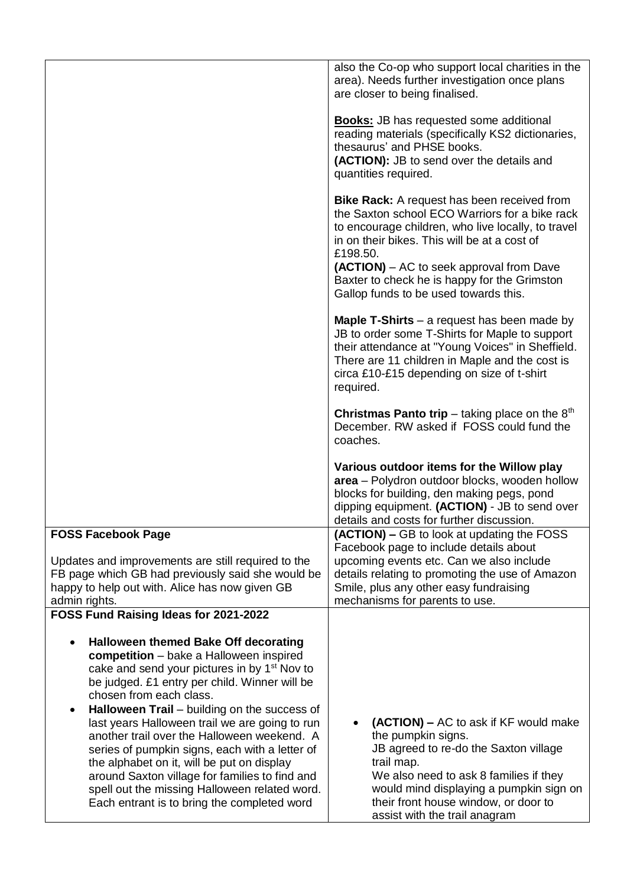|                                                                                                                                                                                                                                                                                                                                                                                 | also the Co-op who support local charities in the<br>area). Needs further investigation once plans<br>are closer to being finalised.                                                                                                                                                                                                                        |
|---------------------------------------------------------------------------------------------------------------------------------------------------------------------------------------------------------------------------------------------------------------------------------------------------------------------------------------------------------------------------------|-------------------------------------------------------------------------------------------------------------------------------------------------------------------------------------------------------------------------------------------------------------------------------------------------------------------------------------------------------------|
|                                                                                                                                                                                                                                                                                                                                                                                 | <b>Books:</b> JB has requested some additional<br>reading materials (specifically KS2 dictionaries,<br>thesaurus' and PHSE books.<br>(ACTION): JB to send over the details and<br>quantities required.                                                                                                                                                      |
|                                                                                                                                                                                                                                                                                                                                                                                 | <b>Bike Rack:</b> A request has been received from<br>the Saxton school ECO Warriors for a bike rack<br>to encourage children, who live locally, to travel<br>in on their bikes. This will be at a cost of<br>£198.50.<br>(ACTION) – AC to seek approval from Dave<br>Baxter to check he is happy for the Grimston<br>Gallop funds to be used towards this. |
|                                                                                                                                                                                                                                                                                                                                                                                 | <b>Maple T-Shirts</b> $-$ a request has been made by<br>JB to order some T-Shirts for Maple to support<br>their attendance at "Young Voices" in Sheffield.<br>There are 11 children in Maple and the cost is<br>circa £10-£15 depending on size of t-shirt<br>required.                                                                                     |
|                                                                                                                                                                                                                                                                                                                                                                                 | <b>Christmas Panto trip</b> – taking place on the $8th$<br>December. RW asked if FOSS could fund the<br>coaches.                                                                                                                                                                                                                                            |
|                                                                                                                                                                                                                                                                                                                                                                                 | Various outdoor items for the Willow play<br>area - Polydron outdoor blocks, wooden hollow<br>blocks for building, den making pegs, pond<br>dipping equipment. (ACTION) - JB to send over<br>details and costs for further discussion.                                                                                                                      |
| <b>FOSS Facebook Page</b>                                                                                                                                                                                                                                                                                                                                                       | (ACTION) – GB to look at updating the FOSS                                                                                                                                                                                                                                                                                                                  |
| Updates and improvements are still required to the                                                                                                                                                                                                                                                                                                                              | Facebook page to include details about<br>upcoming events etc. Can we also include                                                                                                                                                                                                                                                                          |
| FB page which GB had previously said she would be<br>happy to help out with. Alice has now given GB<br>admin rights.                                                                                                                                                                                                                                                            | details relating to promoting the use of Amazon<br>Smile, plus any other easy fundraising<br>mechanisms for parents to use.                                                                                                                                                                                                                                 |
| FOSS Fund Raising Ideas for 2021-2022                                                                                                                                                                                                                                                                                                                                           |                                                                                                                                                                                                                                                                                                                                                             |
| <b>Halloween themed Bake Off decorating</b><br>competition - bake a Halloween inspired<br>cake and send your pictures in by 1 <sup>st</sup> Nov to<br>be judged. £1 entry per child. Winner will be<br>chosen from each class.<br>Halloween Trail - building on the success of<br>last years Halloween trail we are going to run<br>another trail over the Halloween weekend. A | (ACTION) – AC to ask if KF would make<br>the pumpkin signs.                                                                                                                                                                                                                                                                                                 |
| series of pumpkin signs, each with a letter of<br>the alphabet on it, will be put on display<br>around Saxton village for families to find and<br>spell out the missing Halloween related word.<br>Each entrant is to bring the completed word                                                                                                                                  | JB agreed to re-do the Saxton village<br>trail map.<br>We also need to ask 8 families if they<br>would mind displaying a pumpkin sign on<br>their front house window, or door to<br>assist with the trail anagram                                                                                                                                           |